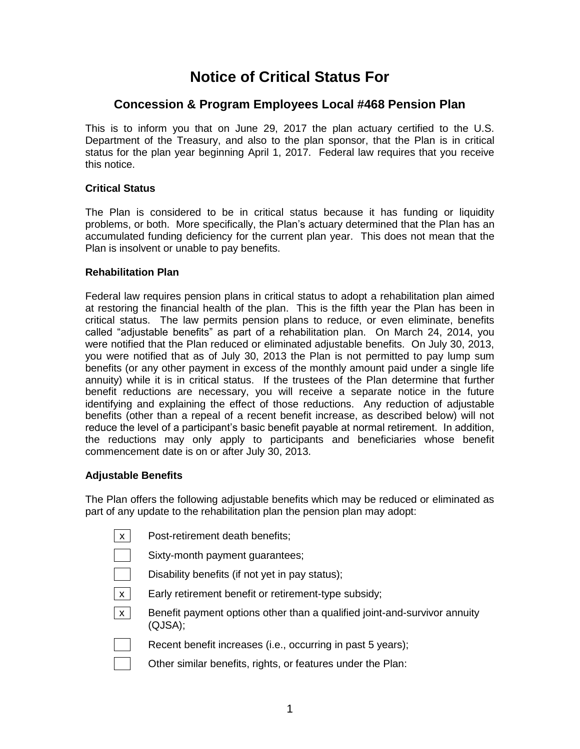# **Notice of Critical Status For**

# **Concession & Program Employees Local #468 Pension Plan**

This is to inform you that on June 29, 2017 the plan actuary certified to the U.S. Department of the Treasury, and also to the plan sponsor, that the Plan is in critical status for the plan year beginning April 1, 2017. Federal law requires that you receive this notice.

## **Critical Status**

The Plan is considered to be in critical status because it has funding or liquidity problems, or both. More specifically, the Plan's actuary determined that the Plan has an accumulated funding deficiency for the current plan year. This does not mean that the Plan is insolvent or unable to pay benefits.

## **Rehabilitation Plan**

Federal law requires pension plans in critical status to adopt a rehabilitation plan aimed at restoring the financial health of the plan. This is the fifth year the Plan has been in critical status. The law permits pension plans to reduce, or even eliminate, benefits called "adjustable benefits" as part of a rehabilitation plan. On March 24, 2014, you were notified that the Plan reduced or eliminated adjustable benefits. On July 30, 2013, you were notified that as of July 30, 2013 the Plan is not permitted to pay lump sum benefits (or any other payment in excess of the monthly amount paid under a single life annuity) while it is in critical status. If the trustees of the Plan determine that further benefit reductions are necessary, you will receive a separate notice in the future identifying and explaining the effect of those reductions. Any reduction of adjustable benefits (other than a repeal of a recent benefit increase, as described below) will not reduce the level of a participant's basic benefit payable at normal retirement. In addition, the reductions may only apply to participants and beneficiaries whose benefit commencement date is on or after July 30, 2013.

## **Adjustable Benefits**

The Plan offers the following adjustable benefits which may be reduced or eliminated as part of any update to the rehabilitation plan the pension plan may adopt:

| X                         | Post-retirement death benefits;                                                      |
|---------------------------|--------------------------------------------------------------------------------------|
|                           | Sixty-month payment guarantees;                                                      |
|                           | Disability benefits (if not yet in pay status);                                      |
| X                         | Early retirement benefit or retirement-type subsidy;                                 |
| $\boldsymbol{\mathsf{x}}$ | Benefit payment options other than a qualified joint-and-survivor annuity<br>(QJSA); |
|                           | Recent benefit increases (i.e., occurring in past 5 years);                          |

Other similar benefits, rights, or features under the Plan: